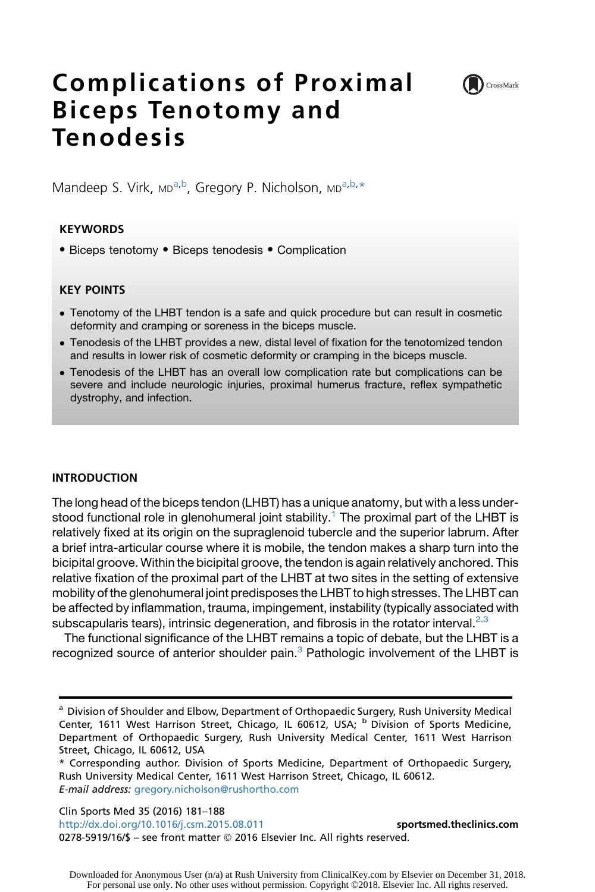

# Complications of Proximal Biceps Teno tomy and Tenodesis

Mandeep S. Virk, MD<sup>a,b</sup>, Gregory P. Nicholson, MD<sup>a,b,\*</sup>

### **KEYWORDS**

• Biceps tenotomy • Biceps tenodesis • Complication

#### KEY POINTS

- Tenotomy of the LHBT tendon is a safe and quick procedure but can result in cosmetic deformity and cramping or soreness in the biceps muscle.
- Tenodesis of the LHBT provides a new, distal level of fixation for the tenotomized tendon and results in lower risk of cosmetic deformity or cramping in the biceps muscle.
- Tenodesis of the LHBT has an overall low complication rate but complications can be severe and include neurologic injuries, proximal humerus fracture, reflex sympathetic dystrophy, and infection.

#### INTRODUCTION

The long head of the biceps tendon (LHBT) has a unique anatomy, but with a less understood functional role in glenohumeral joint stability.<sup>1</sup> The proximal part of the LHBT is relatively fixed at its origin on the supraglenoid tubercle and the superior labrum. After a brief intra-articular course where it is mobile, the tendon makes a sharp turn into the bicipital groove. Within the bicipital groove, the tendon is again relatively anchored. This relative fixation of the proximal part of the LHBT at two sites in the setting of extensive mobility of the glenohumeral joint predisposes the LHBT to high stresses. The LHBT can be affected by inflammation, trauma, impingement, instability (typically associated with subscapularis tears), intrinsic degeneration, and fibrosis in the rotator interval.<sup>2,3</sup>

The functional significance of the LHBT remains a topic of debate, but the LHBT is a recognized source of anterior shoulder pain.<sup>3</sup> Pathologic involvement of the LHBT is

Clin Sports Med 35 (2016) 181–188 http://dx.doi.org/10.1016/j.csm.2015.08.011 sportsmed.theclinics.com 0278-5919/16/\$ - see front matter © 2016 Elsevier Inc. All rights reserved.

Downloaded for Anonymous User (n/a) at Rush University from ClinicalKey.com by Elsevier on December 31, 2018. For personal use only. No other uses without permission. Copyright ©2018. Elsevier Inc. All rights reserved.

<sup>&</sup>lt;sup>a</sup> Division of Shoulder and Elbow, Department of Orthopaedic Surgery, Rush University Medical Center, 1611 West Harrison Street, Chicago, IL 60612, USA; <sup>b</sup> Division of Sports Medicine, Department of Orthopaedic Surgery, Rush University Medical Center, 1611 West Harrison Street, Chicago, IL 60612, USA

<sup>\*</sup> Corresponding author. Division of Sports Medicine, Department of Orthopaedic Surgery, Rush University Medical Center, 1611 West Harrison Street, Chicago, IL 60612. E-mail address: gregory.nicholson@rushortho.com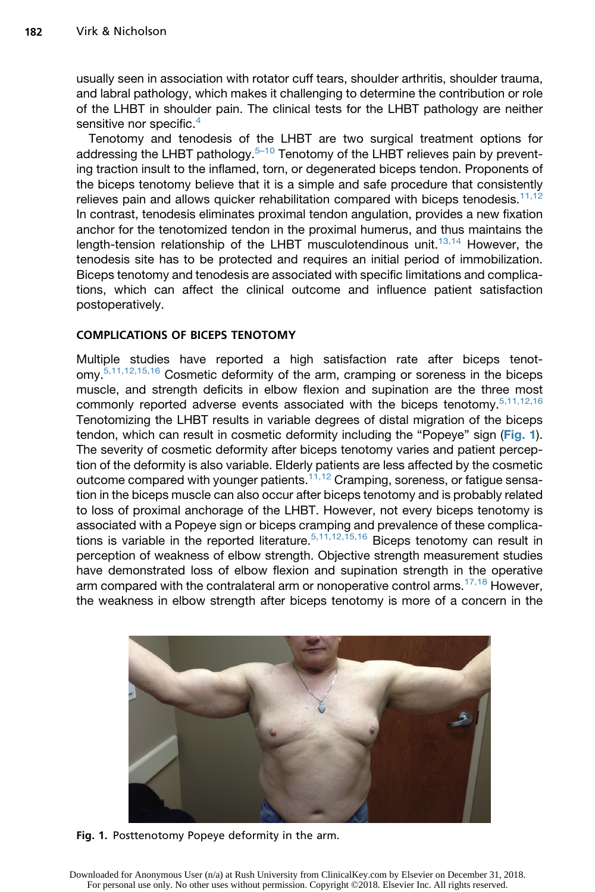usually seen in association with rotator cuff tears, shoulder arthritis, shoulder trauma, and labral pathology, which makes it challenging to determine the contribution or role of the LHBT in shoulder pain. The clinical tests for the LHBT pathology are neither sensitive nor specific.<sup>4</sup>

Tenotomy and tenodesis of the LHBT are two surgical treatment options for addressing the LHBT pathology. $5-10$  Tenotomy of the LHBT relieves pain by preventing traction insult to the inflamed, torn, or degenerated biceps tendon. Proponents of the biceps tenotomy believe that it is a simple and safe procedure that consistently relieves pain and allows quicker rehabilitation compared with biceps tenodesis.<sup>11,12</sup> In contrast, tenodesis eliminates proximal tendon angulation, provides a new fixation anchor for the tenotomized tendon in the proximal humerus, and thus maintains the length-tension relationship of the LHBT musculotendinous unit.<sup>13,14</sup> However, the tenodesis site has to be protected and requires an initial period of immobilization. Biceps tenotomy and tenodesis are associated with specific limitations and complications, which can affect the clinical outcome and influence patient satisfaction postoperatively.

## COMPLICATIONS OF BICEPS TENOTOMY

Multiple studies have reported a high satisfaction rate after biceps tenotomv.<sup>5,11,12,15,16</sup> Cosmetic deformity of the arm, cramping or soreness in the biceps muscle, and strength deficits in elbow flexion and supination are the three most commonly reported adverse events associated with the biceps tenotomy.5,11,12,16 Tenotomizing the LHBT results in variable degrees of distal migration of the biceps tendon, which can result in cosmetic deformity including the "Popeye" sign (Fig. 1). The severity of cosmetic deformity after biceps tenotomy varies and patient perception of the deformity is also variable. Elderly patients are less affected by the cosmetic outcome compared with younger patients.<sup>11,12</sup> Cramping, soreness, or fatigue sensation in the biceps muscle can also occur after biceps tenotomy and is probably related to loss of proximal anchorage of the LHBT. However, not every biceps tenotomy is associated with a Popeye sign or biceps cramping and prevalence of these complications is variable in the reported literature.<sup>5,11,12,15,16</sup> Biceps tenotomy can result in perception of weakness of elbow strength. Objective strength measurement studies have demonstrated loss of elbow flexion and supination strength in the operative arm compared with the contralateral arm or nonoperative control arms.<sup>17,18</sup> However, the weakness in elbow strength after biceps tenotomy is more of a concern in the



Fig. 1. Posttenotomy Popeye deformity in the arm.

Downloaded for Anonymous User (n/a) at Rush University from ClinicalKey.com by Elsevier on December 31, 2018. For personal use only. No other uses without permission. Copyright ©2018. Elsevier Inc. All rights reserved.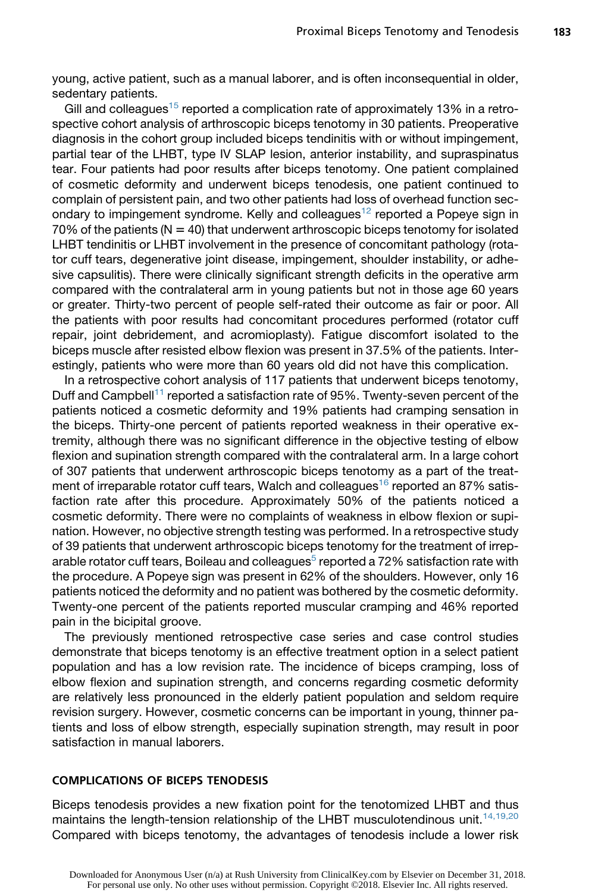young, active patient, such as a manual laborer, and is often inconsequential in older, sedentary patients.

Gill and colleagues<sup>15</sup> reported a complication rate of approximately 13% in a retrospective cohort analysis of arthroscopic biceps tenotomy in 30 patients. Preoperative diagnosis in the cohort group included biceps tendinitis with or without impingement, partial tear of the LHBT, type IV SLAP lesion, anterior instability, and supraspinatus tear. Four patients had poor results after biceps tenotomy. One patient complained of cosmetic deformity and underwent biceps tenodesis, one patient continued to complain of persistent pain, and two other patients had loss of overhead function secondary to impingement syndrome. Kelly and colleagues<sup>12</sup> reported a Popeye sign in 70% of the patients ( $N = 40$ ) that underwent arthroscopic biceps tenotomy for isolated LHBT tendinitis or LHBT involvement in the presence of concomitant pathology (rotator cuff tears, degenerative joint disease, impingement, shoulder instability, or adhesive capsulitis). There were clinically significant strength deficits in the operative arm compared with the contralateral arm in young patients but not in those age 60 years or greater. Thirty-two percent of people self-rated their outcome as fair or poor. All the patients with poor results had concomitant procedures performed (rotator cuff repair, joint debridement, and acromioplasty). Fatigue discomfort isolated to the biceps muscle after resisted elbow flexion was present in 37.5% of the patients. Interestingly, patients who were more than 60 years old did not have this complication.

In a retrospective cohort analysis of 117 patients that underwent biceps tenotomy, Duff and Campbell<sup>11</sup> reported a satisfaction rate of 95%. Twenty-seven percent of the patients noticed a cosmetic deformity and 19% patients had cramping sensation in the biceps. Thirty-one percent of patients reported weakness in their operative extremity, although there was no significant difference in the objective testing of elbow flexion and supination strength compared with the contralateral arm. In a large cohort of 307 patients that underwent arthroscopic biceps tenotomy as a part of the treatment of irreparable rotator cuff tears, Walch and colleagues<sup>16</sup> reported an 87% satisfaction rate after this procedure. Approximately 50% of the patients noticed a cosmetic deformity. There were no complaints of weakness in elbow flexion or supination. However, no objective strength testing was performed. In a retrospective study of 39 patients that underwent arthroscopic biceps tenotomy for the treatment of irreparable rotator cuff tears, Boileau and colleagues<sup>5</sup> reported a 72% satisfaction rate with the procedure. A Popeye sign was present in 62% of the shoulders. However, only 16 patients noticed the deformity and no patient was bothered by the cosmetic deformity. Twenty-one percent of the patients reported muscular cramping and 46% reported pain in the bicipital groove.

The previously mentioned retrospective case series and case control studies demonstrate that biceps tenotomy is an effective treatment option in a select patient population and has a low revision rate. The incidence of biceps cramping, loss of elbow flexion and supination strength, and concerns regarding cosmetic deformity are relatively less pronounced in the elderly patient population and seldom require revision surgery. However, cosmetic concerns can be important in young, thinner patients and loss of elbow strength, especially supination strength, may result in poor satisfaction in manual laborers.

#### COMPLICATIONS OF BICEPS TENODESIS

Biceps tenodesis provides a new fixation point for the tenotomized LHBT and thus maintains the length-tension relationship of the LHBT musculotendinous unit.<sup>14,19,20</sup> Compared with biceps tenotomy, the advantages of tenodesis include a lower risk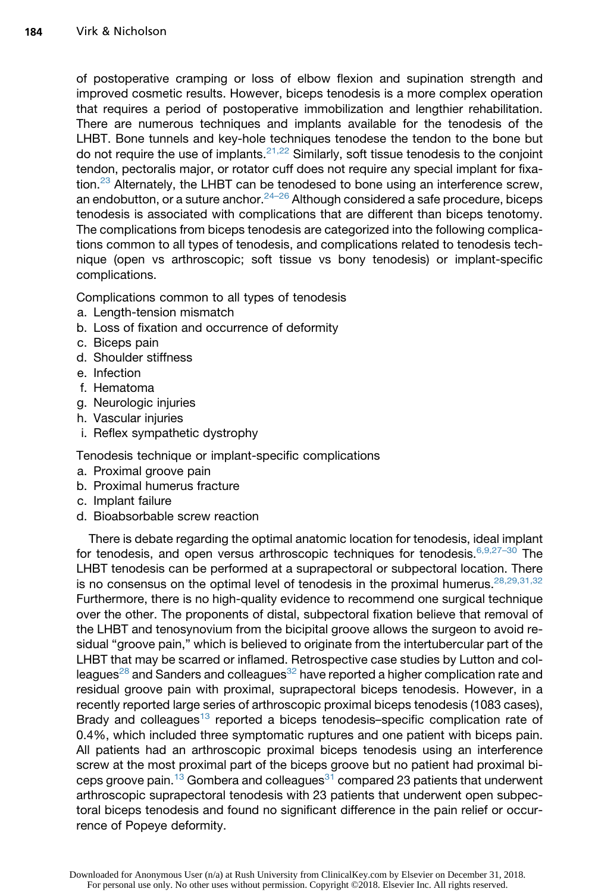of postoperative cramping or loss of elbow flexion and supination strength and improved cosmetic results. However, biceps tenodesis is a more complex operation that requires a period of postoperative immobilization and lengthier rehabilitation. There are numerous techniques and implants available for the tenodesis of the LHBT. Bone tunnels and key-hole techniques tenodese the tendon to the bone but do not require the use of implants. $2^{1,22}$  Similarly, soft tissue tenodesis to the conjoint tendon, pectoralis major, or rotator cuff does not require any special implant for fixation.<sup>23</sup> Alternately, the LHBT can be tenodesed to bone using an interference screw, an endobutton, or a suture anchor. $24-26$  Although considered a safe procedure, biceps tenodesis is associated with complications that are different than biceps tenotomy. The complications from biceps tenodesis are categorized into the following complications common to all types of tenodesis, and complications related to tenodesis technique (open vs arthroscopic; soft tissue vs bony tenodesis) or implant-specific complications.

Complications common to all types of tenodesis

- a. Length-tension mismatch
- b. Loss of fixation and occurrence of deformity
- c. Biceps pain
- d. Shoulder stiffness
- e. Infection
- f. Hematoma
- g. Neurologic injuries
- h. Vascular injuries
- i. Reflex sympathetic dystrophy

Tenodesis technique or implant-specific complications

- a. Proximal groove pain
- b. Proximal humerus fracture
- c. Implant failure
- d. Bioabsorbable screw reaction

There is debate regarding the optimal anatomic location for tenodesis, ideal implant for tenodesis, and open versus arthroscopic techniques for tenodesis.<sup>6,9,27-30</sup> The LHBT tenodesis can be performed at a suprapectoral or subpectoral location. There is no consensus on the optimal level of tenodesis in the proximal humerus.  $28,29,31,32$ Furthermore, there is no high-quality evidence to recommend one surgical technique over the other. The proponents of distal, subpectoral fixation believe that removal of the LHBT and tenosynovium from the bicipital groove allows the surgeon to avoid residual "groove pain," which is believed to originate from the intertubercular part of the LHBT that may be scarred or inflamed. Retrospective case studies by Lutton and colleagues<sup>28</sup> and Sanders and colleagues<sup>32</sup> have reported a higher complication rate and residual groove pain with proximal, suprapectoral biceps tenodesis. However, in a recently reported large series of arthroscopic proximal biceps tenodesis (1083 cases), Brady and colleagues<sup>13</sup> reported a biceps tenodesis-specific complication rate of 0.4%, which included three symptomatic ruptures and one patient with biceps pain. All patients had an arthroscopic proximal biceps tenodesis using an interference screw at the most proximal part of the biceps groove but no patient had proximal biceps groove pain.<sup>13</sup> Gombera and colleagues $31$  compared 23 patients that underwent arthroscopic suprapectoral tenodesis with 23 patients that underwent open subpectoral biceps tenodesis and found no significant difference in the pain relief or occurrence of Popeye deformity.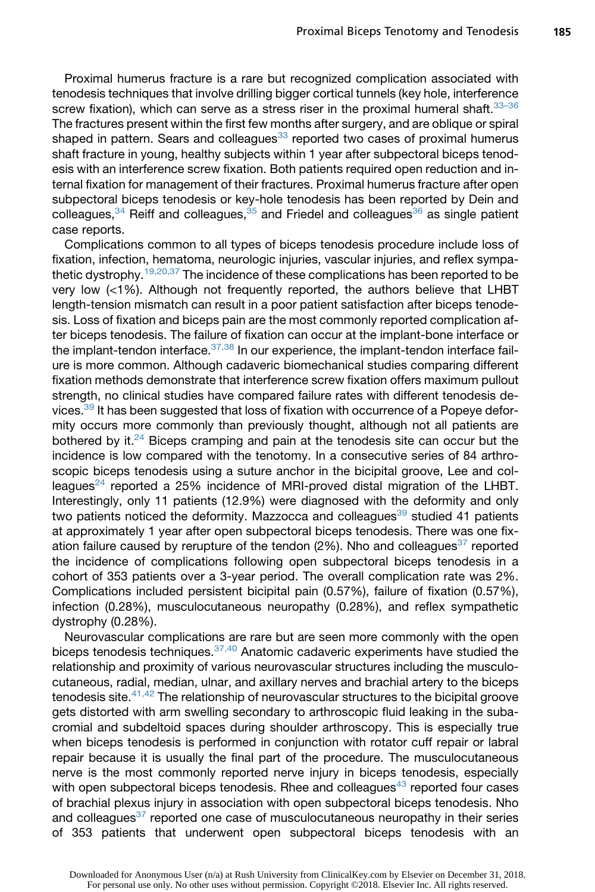Proximal humerus fracture is a rare but recognized complication associated with tenodesis techniques that involve drilling bigger cortical tunnels (key hole, interference screw fixation), which can serve as a stress riser in the proximal humeral shaft.  $33-36$ The fractures present within the first few months after surgery, and are oblique or spiral shaped in pattern. Sears and colleagues<sup>33</sup> reported two cases of proximal humerus shaft fracture in young, healthy subjects within 1 year after subpectoral biceps tenodesis with an interference screw fixation. Both patients required open reduction and internal fixation for management of their fractures. Proximal humerus fracture after open subpectoral biceps tenodesis or key-hole tenodesis has been reported by Dein and colleagues,  $34$  Reiff and colleagues,  $35$  and Friedel and colleagues  $36$  as single patient case reports.

Complications common to all types of biceps tenodesis procedure include loss of fixation, infection, hematoma, neurologic injuries, vascular injuries, and reflex sympathetic dystrophy.<sup>19,20,37</sup> The incidence of these complications has been reported to be very low (<1%). Although not frequently reported, the authors believe that LHBT length-tension mismatch can result in a poor patient satisfaction after biceps tenodesis. Loss of fixation and biceps pain are the most commonly reported complication after biceps tenodesis. The failure of fixation can occur at the implant-bone interface or the implant-tendon interface. $37,38$  In our experience, the implant-tendon interface failure is more common. Although cadaveric biomechanical studies comparing different fixation methods demonstrate that interference screw fixation offers maximum pullout strength, no clinical studies have compared failure rates with different tenodesis devices.<sup>39</sup> It has been suggested that loss of fixation with occurrence of a Popeye deformity occurs more commonly than previously thought, although not all patients are bothered by it. $24$  Biceps cramping and pain at the tenodesis site can occur but the incidence is low compared with the tenotomy. In a consecutive series of 84 arthroscopic biceps tenodesis using a suture anchor in the bicipital groove, Lee and colleagues<sup>24</sup> reported a 25% incidence of MRI-proved distal migration of the LHBT. Interestingly, only 11 patients (12.9%) were diagnosed with the deformity and only two patients noticed the deformity. Mazzocca and colleagues<sup>39</sup> studied 41 patients at approximately 1 year after open subpectoral biceps tenodesis. There was one fixation failure caused by rerupture of the tendon  $(2%)$ . Nho and colleagues<sup>37</sup> reported the incidence of complications following open subpectoral biceps tenodesis in a cohort of 353 patients over a 3-year period. The overall complication rate was 2%. Complications included persistent bicipital pain (0.57%), failure of fixation (0.57%), infection (0.28%), musculocutaneous neuropathy (0.28%), and reflex sympathetic dystrophy (0.28%).

Neurovascular complications are rare but are seen more commonly with the open biceps tenodesis techniques.<sup>37,40</sup> Anatomic cadaveric experiments have studied the relationship and proximity of various neurovascular structures including the musculocutaneous, radial, median, ulnar, and axillary nerves and brachial artery to the biceps tenodesis site. $41,42$  The relationship of neurovascular structures to the bicipital groove gets distorted with arm swelling secondary to arthroscopic fluid leaking in the subacromial and subdeltoid spaces during shoulder arthroscopy. This is especially true when biceps tenodesis is performed in conjunction with rotator cuff repair or labral repair because it is usually the final part of the procedure. The musculocutaneous nerve is the most commonly reported nerve injury in biceps tenodesis, especially with open subpectoral biceps tenodesis. Rhee and colleagues $43$  reported four cases of brachial plexus injury in association with open subpectoral biceps tenodesis. Nho and colleagues $37$  reported one case of musculocutaneous neuropathy in their series of 353 patients that underwent open subpectoral biceps tenodesis with an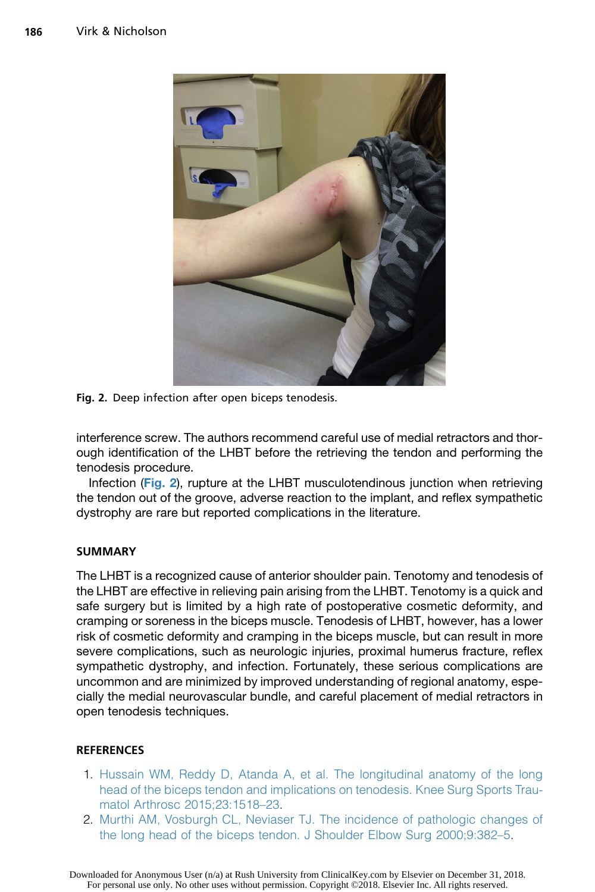

Fig. 2. Deep infection after open biceps tenodesis.

interference screw. The authors recommend careful use of medial retractors and thorough identification of the LHBT before the retrieving the tendon and performing the tenodesis procedure.

Infection (Fig. 2), rupture at the LHBT musculotendinous junction when retrieving the tendon out of the groove, adverse reaction to the implant, and reflex sympathetic dystrophy are rare but reported complications in the literature.

# SUMMARY

The LHBT is a recognized cause of anterior shoulder pain. Tenotomy and tenodesis of the LHBT are effective in relieving pain arising from the LHBT. Tenotomy is a quick and safe surgery but is limited by a high rate of postoperative cosmetic deformity, and cramping or soreness in the biceps muscle. Tenodesis of LHBT, however, has a lower risk of cosmetic deformity and cramping in the biceps muscle, but can result in more severe complications, such as neurologic injuries, proximal humerus fracture, reflex sympathetic dystrophy, and infection. Fortunately, these serious complications are uncommon and are minimized by improved understanding of regional anatomy, especially the medial neurovascular bundle, and careful placement of medial retractors in open tenodesis techniques.

# **REFERENCES**

- 1. Hussain WM, Reddy D, Atanda A, et al. The longitudinal anatomy of the long head of the biceps tendon and implications on tenodesis. Knee Surg Sports Traumatol Arthrosc 2015;23:1518–23.
- 2. Murthi AM, Vosburgh CL, Neviaser TJ. The incidence of pathologic changes of the long head of the biceps tendon. J Shoulder Elbow Surg 2000;9:382–5.

Downloaded for Anonymous User (n/a) at Rush University from ClinicalKey.com by Elsevier on December 31, 2018. For personal use only. No other uses without permission. Copyright ©2018. Elsevier Inc. All rights reserved.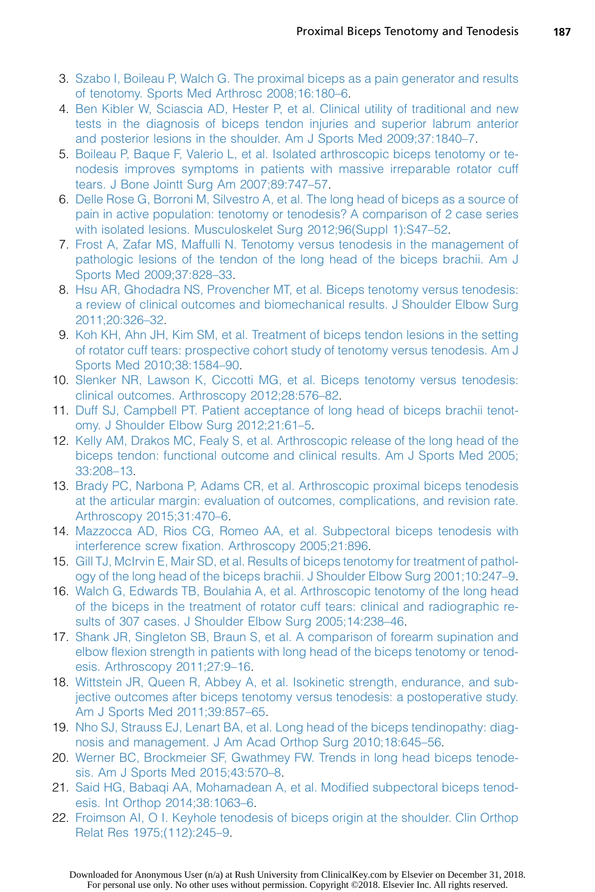- 3. Szabo I, Boileau P, Walch G. The proximal biceps as a pain generator and results of tenotomy. Sports Med Arthrosc 2008;16:180–6.
- 4. Ben Kibler W, Sciascia AD, Hester P, et al. Clinical utility of traditional and new tests in the diagnosis of biceps tendon injuries and superior labrum anterior and posterior lesions in the shoulder. Am J Sports Med 2009;37:1840–7.
- 5. Boileau P, Baque F, Valerio L, et al. Isolated arthroscopic biceps tenotomy or tenodesis improves symptoms in patients with massive irreparable rotator cuff tears. J Bone Jointt Surg Am 2007;89:747–57.
- 6. Delle Rose G, Borroni M, Silvestro A, et al. The long head of biceps as a source of pain in active population: tenotomy or tenodesis? A comparison of 2 case series with isolated lesions. Musculoskelet Surg 2012;96(Suppl 1):S47–52.
- 7. Frost A, Zafar MS, Maffulli N. Tenotomy versus tenodesis in the management of pathologic lesions of the tendon of the long head of the biceps brachii. Am J Sports Med 2009;37:828–33.
- 8. Hsu AR, Ghodadra NS, Provencher MT, et al. Biceps tenotomy versus tenodesis: a review of clinical outcomes and biomechanical results. J Shoulder Elbow Surg 2011;20:326–32.
- 9. Koh KH, Ahn JH, Kim SM, et al. Treatment of biceps tendon lesions in the setting of rotator cuff tears: prospective cohort study of tenotomy versus tenodesis. Am J Sports Med 2010;38:1584–90.
- 10. Slenker NR, Lawson K, Ciccotti MG, et al. Biceps tenotomy versus tenodesis: clinical outcomes. Arthroscopy 2012;28:576–82.
- 11. Duff SJ, Campbell PT. Patient acceptance of long head of biceps brachii tenotomy. J Shoulder Elbow Surg 2012;21:61–5.
- 12. Kelly AM, Drakos MC, Fealy S, et al. Arthroscopic release of the long head of the biceps tendon: functional outcome and clinical results. Am J Sports Med 2005; 33:208–13.
- 13. Brady PC, Narbona P, Adams CR, et al. Arthroscopic proximal biceps tenodesis at the articular margin: evaluation of outcomes, complications, and revision rate. Arthroscopy 2015;31:470–6.
- 14. Mazzocca AD, Rios CG, Romeo AA, et al. Subpectoral biceps tenodesis with interference screw fixation. Arthroscopy 2005;21:896.
- 15. Gill TJ, McIrvin E, Mair SD, et al. Results of biceps tenotomy for treatment of pathology of the long head of the biceps brachii. J Shoulder Elbow Surg 2001;10:247–9.
- 16. Walch G, Edwards TB, Boulahia A, et al. Arthroscopic tenotomy of the long head of the biceps in the treatment of rotator cuff tears: clinical and radiographic results of 307 cases. J Shoulder Elbow Surg 2005;14:238–46.
- 17. Shank JR, Singleton SB, Braun S, et al. A comparison of forearm supination and elbow flexion strength in patients with long head of the biceps tenotomy or tenodesis. Arthroscopy 2011;27:9–16.
- 18. Wittstein JR, Queen R, Abbey A, et al. Isokinetic strength, endurance, and subjective outcomes after biceps tenotomy versus tenodesis: a postoperative study. Am J Sports Med 2011;39:857–65.
- 19. Nho SJ, Strauss EJ, Lenart BA, et al. Long head of the biceps tendinopathy: diagnosis and management. J Am Acad Orthop Surg 2010;18:645–56.
- 20. Werner BC, Brockmeier SF, Gwathmey FW. Trends in long head biceps tenodesis. Am J Sports Med 2015;43:570–8.
- 21. Said HG, Babaqi AA, Mohamadean A, et al. Modified subpectoral biceps tenodesis. Int Orthop 2014;38:1063–6.
- 22. Froimson AI, O I. Keyhole tenodesis of biceps origin at the shoulder. Clin Orthop Relat Res 1975;(112):245–9.

Downloaded for Anonymous User (n/a) at Rush University from ClinicalKey.com by Elsevier on December 31, 2018. For personal use only. No other uses without permission. Copyright ©2018. Elsevier Inc. All rights reserved.